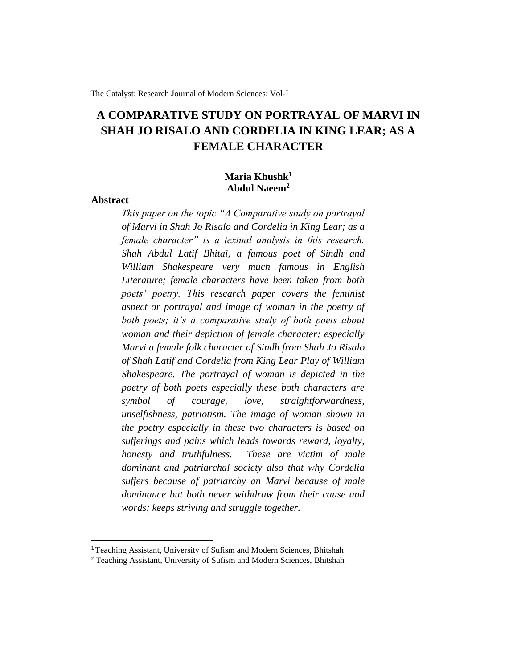The Catalyst: Research Journal of Modern Sciences: Vol-I

# **A COMPARATIVE STUDY ON PORTRAYAL OF MARVI IN SHAH JO RISALO AND CORDELIA IN KING LEAR; AS A FEMALE CHARACTER**

## **Maria Khushk<sup>1</sup> Abdul Naeem<sup>2</sup>**

## **Abstract**

*This paper on the topic "A Comparative study on portrayal of Marvi in Shah Jo Risalo and Cordelia in King Lear; as a female character" is a textual analysis in this research. Shah Abdul Latif Bhitai, a famous poet of Sindh and William Shakespeare very much famous in English Literature; female characters have been taken from both poets' poetry. This research paper covers the feminist aspect or portrayal and image of woman in the poetry of both poets; it's a comparative study of both poets about woman and their depiction of female character; especially Marvi a female folk character of Sindh from Shah Jo Risalo of Shah Latif and Cordelia from King Lear Play of William Shakespeare. The portrayal of woman is depicted in the poetry of both poets especially these both characters are symbol of courage, love, straightforwardness, unselfishness, patriotism. The image of woman shown in the poetry especially in these two characters is based on sufferings and pains which leads towards reward, loyalty, honesty and truthfulness. These are victim of male dominant and patriarchal society also that why Cordelia suffers because of patriarchy an Marvi because of male dominance but both never withdraw from their cause and words; keeps striving and struggle together.*

<sup>&</sup>lt;sup>1</sup> Teaching Assistant, University of Sufism and Modern Sciences, Bhitshah

<sup>&</sup>lt;sup>2</sup> Teaching Assistant, University of Sufism and Modern Sciences, Bhitshah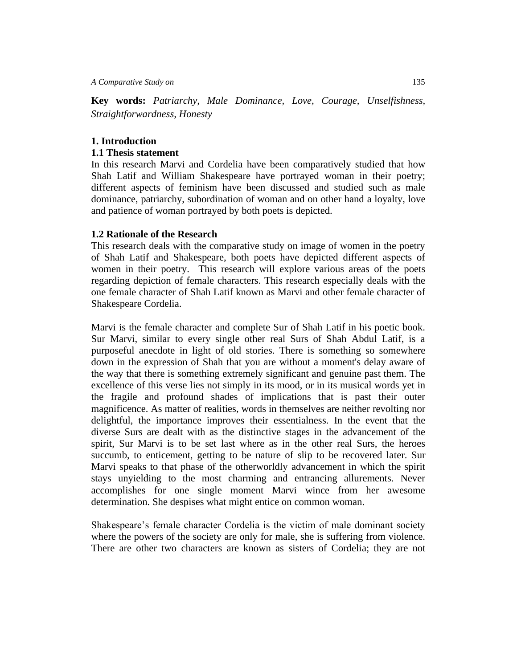*A Comparative Study on*135

**Key words:** *Patriarchy, Male Dominance, Love, Courage, Unselfishness, Straightforwardness, Honesty*

## **1. Introduction**

## **1.1 Thesis statement**

In this research Marvi and Cordelia have been comparatively studied that how Shah Latif and William Shakespeare have portrayed woman in their poetry; different aspects of feminism have been discussed and studied such as male dominance, patriarchy, subordination of woman and on other hand a loyalty, love and patience of woman portrayed by both poets is depicted.

## **1.2 Rationale of the Research**

This research deals with the comparative study on image of women in the poetry of Shah Latif and Shakespeare, both poets have depicted different aspects of women in their poetry. This research will explore various areas of the poets regarding depiction of female characters. This research especially deals with the one female character of Shah Latif known as Marvi and other female character of Shakespeare Cordelia.

Marvi is the female character and complete Sur of Shah Latif in his poetic book. Sur Marvi, similar to every single other real Surs of Shah Abdul Latif, is a purposeful anecdote in light of old stories. There is something so somewhere down in the expression of Shah that you are without a moment's delay aware of the way that there is something extremely significant and genuine past them. The excellence of this verse lies not simply in its mood, or in its musical words yet in the fragile and profound shades of implications that is past their outer magnificence. As matter of realities, words in themselves are neither revolting nor delightful, the importance improves their essentialness. In the event that the diverse Surs are dealt with as the distinctive stages in the advancement of the spirit, Sur Marvi is to be set last where as in the other real Surs, the heroes succumb, to enticement, getting to be nature of slip to be recovered later. Sur Marvi speaks to that phase of the otherworldly advancement in which the spirit stays unyielding to the most charming and entrancing allurements. Never accomplishes for one single moment Marvi wince from her awesome determination. She despises what might entice on common woman.

Shakespeare's female character Cordelia is the victim of male dominant society where the powers of the society are only for male, she is suffering from violence. There are other two characters are known as sisters of Cordelia; they are not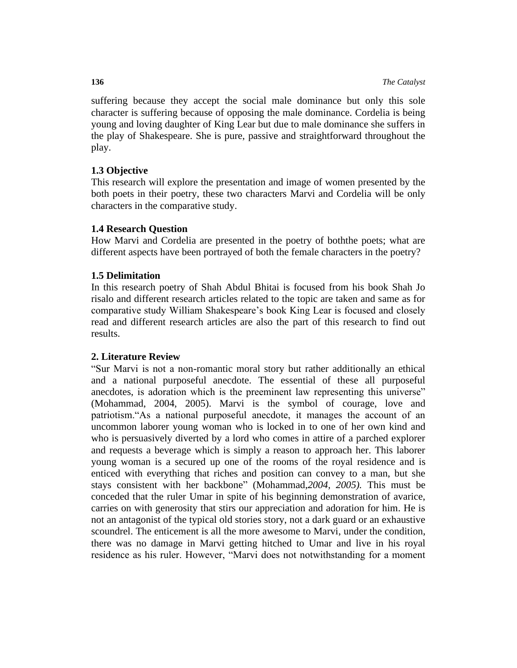suffering because they accept the social male dominance but only this sole character is suffering because of opposing the male dominance. Cordelia is being young and loving daughter of King Lear but due to male dominance she suffers in the play of Shakespeare. She is pure, passive and straightforward throughout the play.

## **1.3 Objective**

This research will explore the presentation and image of women presented by the both poets in their poetry, these two characters Marvi and Cordelia will be only characters in the comparative study.

## **1.4 Research Question**

How Marvi and Cordelia are presented in the poetry of boththe poets; what are different aspects have been portrayed of both the female characters in the poetry?

## **1.5 Delimitation**

In this research poetry of Shah Abdul Bhitai is focused from his book Shah Jo risalo and different research articles related to the topic are taken and same as for comparative study William Shakespeare's book King Lear is focused and closely read and different research articles are also the part of this research to find out results.

## **2. Literature Review**

"Sur Marvi is not a non-romantic moral story but rather additionally an ethical and a national purposeful anecdote. The essential of these all purposeful anecdotes, is adoration which is the preeminent law representing this universe" (Mohammad, 2004, 2005). Marvi is the symbol of courage, love and patriotism."As a national purposeful anecdote, it manages the account of an uncommon laborer young woman who is locked in to one of her own kind and who is persuasively diverted by a lord who comes in attire of a parched explorer and requests a beverage which is simply a reason to approach her. This laborer young woman is a secured up one of the rooms of the royal residence and is enticed with everything that riches and position can convey to a man, but she stays consistent with her backbone" (Mohammad,*2004, 2005).* This must be conceded that the ruler Umar in spite of his beginning demonstration of avarice, carries on with generosity that stirs our appreciation and adoration for him. He is not an antagonist of the typical old stories story, not a dark guard or an exhaustive scoundrel. The enticement is all the more awesome to Marvi, under the condition, there was no damage in Marvi getting hitched to Umar and live in his royal residence as his ruler. However, "Marvi does not notwithstanding for a moment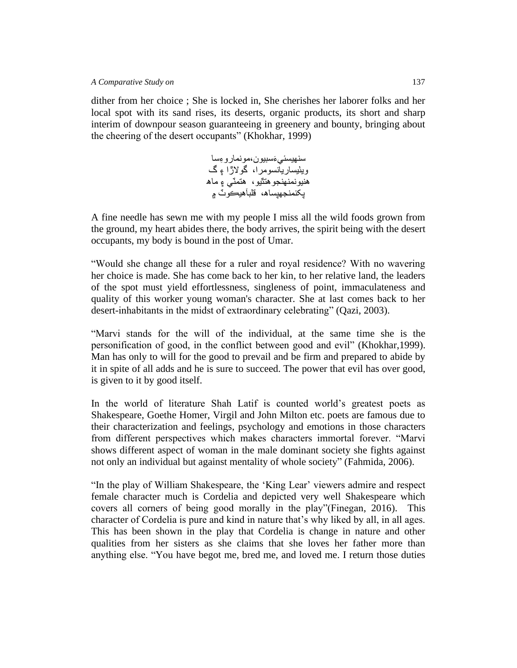dither from her choice ; She is locked in, She cherishes her laborer folks and her local spot with its sand rises, its deserts, organic products, its short and sharp interim of downpour season guaranteeing in greenery and bounty, bringing about the cheering of the desert occupants" (Khokhar, 1999)

> سنهيسئي َءسبيون،مونمارو ءسا ويٺيساريانسومرا، گوالڙا ۽ گ هنيونمنهنجوهتٿيو، هتمٽي ۽ ماه پکنمنجهپساه، قلبآهيڪوٽ ۾

A fine needle has sewn me with my people I miss all the wild foods grown from the ground, my heart abides there, the body arrives, the spirit being with the desert occupants, my body is bound in the post of Umar.

"Would she change all these for a ruler and royal residence? With no wavering her choice is made. She has come back to her kin, to her relative land, the leaders of the spot must yield effortlessness, singleness of point, immaculateness and quality of this worker young woman's character. She at last comes back to her desert-inhabitants in the midst of extraordinary celebrating" (Qazi, 2003).

"Marvi stands for the will of the individual, at the same time she is the personification of good, in the conflict between good and evil" (Khokhar,1999). Man has only to will for the good to prevail and be firm and prepared to abide by it in spite of all adds and he is sure to succeed. The power that evil has over good, is given to it by good itself.

In the world of literature Shah Latif is counted world's greatest poets as Shakespeare, Goethe Homer, Virgil and John Milton etc. poets are famous due to their characterization and feelings, psychology and emotions in those characters from different perspectives which makes characters immortal forever. "Marvi shows different aspect of woman in the male dominant society she fights against not only an individual but against mentality of whole society" (Fahmida, 2006).

"In the play of William Shakespeare, the 'King Lear' viewers admire and respect female character much is Cordelia and depicted very well Shakespeare which covers all corners of being good morally in the play"(Finegan, 2016). This character of Cordelia is pure and kind in nature that's why liked by all, in all ages. This has been shown in the play that Cordelia is change in nature and other qualities from her sisters as she claims that she loves her father more than anything else. "You have begot me, bred me, and loved me. I return those duties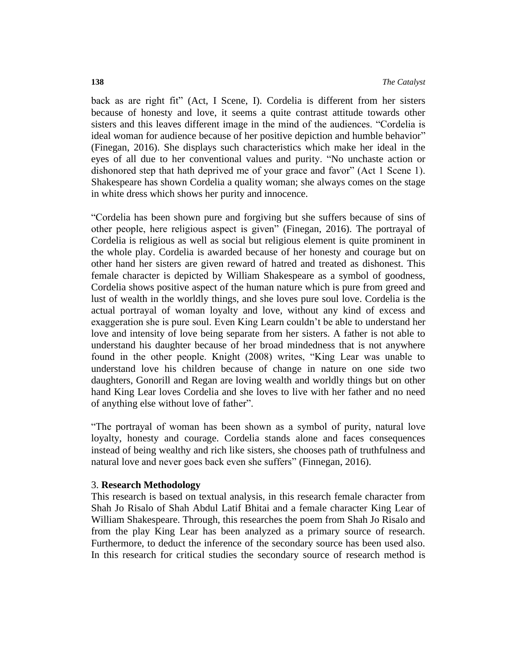back as are right fit" (Act, I Scene, I). Cordelia is different from her sisters because of honesty and love, it seems a quite contrast attitude towards other sisters and this leaves different image in the mind of the audiences. "Cordelia is ideal woman for audience because of her positive depiction and humble behavior" (Finegan, 2016). She displays such characteristics which make her ideal in the eyes of all due to her conventional values and purity. "No unchaste action or dishonored step that hath deprived me of your grace and favor" (Act 1 Scene 1). Shakespeare has shown Cordelia a quality woman; she always comes on the stage in white dress which shows her purity and innocence.

"Cordelia has been shown pure and forgiving but she suffers because of sins of other people, here religious aspect is given" (Finegan, 2016). The portrayal of Cordelia is religious as well as social but religious element is quite prominent in the whole play. Cordelia is awarded because of her honesty and courage but on other hand her sisters are given reward of hatred and treated as dishonest. This female character is depicted by William Shakespeare as a symbol of goodness, Cordelia shows positive aspect of the human nature which is pure from greed and lust of wealth in the worldly things, and she loves pure soul love. Cordelia is the actual portrayal of woman loyalty and love, without any kind of excess and exaggeration she is pure soul. Even King Learn couldn't be able to understand her love and intensity of love being separate from her sisters. A father is not able to understand his daughter because of her broad mindedness that is not anywhere found in the other people. Knight (2008) writes, "King Lear was unable to understand love his children because of change in nature on one side two daughters, Gonorill and Regan are loving wealth and worldly things but on other hand King Lear loves Cordelia and she loves to live with her father and no need of anything else without love of father".

"The portrayal of woman has been shown as a symbol of purity, natural love loyalty, honesty and courage. Cordelia stands alone and faces consequences instead of being wealthy and rich like sisters, she chooses path of truthfulness and natural love and never goes back even she suffers" (Finnegan, 2016).

### 3. **Research Methodology**

This research is based on textual analysis, in this research female character from Shah Jo Risalo of Shah Abdul Latif Bhitai and a female character King Lear of William Shakespeare. Through, this researches the poem from Shah Jo Risalo and from the play King Lear has been analyzed as a primary source of research. Furthermore, to deduct the inference of the secondary source has been used also. In this research for critical studies the secondary source of research method is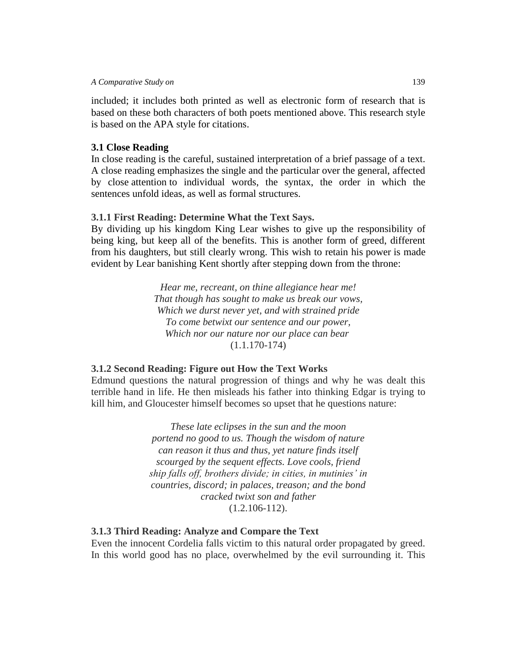#### *A Comparative Study on*139

included; it includes both printed as well as electronic form of research that is based on these both characters of both poets mentioned above. This research style is based on the APA style for citations.

## **3.1 Close Reading**

In close reading is the careful, sustained interpretation of a brief passage of a text. A close reading emphasizes the single and the particular over the general, affected by close [attention](https://en.wikipedia.org/wiki/Attention) to individual words, the syntax, the order in which the sentences unfold ideas, as well as formal structures.

## **3.1.1 First Reading: Determine What the Text Says.**

By dividing up his kingdom King Lear wishes to give up the responsibility of being king, but keep all of the benefits. This is another form of greed, different from his daughters, but still clearly wrong. This wish to retain his [power](http://www.inquiriesjournal.com/keyword/power) is made evident by Lear banishing Kent shortly after stepping down from the throne:

> *Hear me, recreant, on thine allegiance hear me! That though has sought to make us break our vows, Which we durst never yet, and with strained pride To come betwixt our sentence and our power, Which nor our nature nor our place can bear* (1.1.170-174)

## **3.1.2 Second Reading: Figure out How the Text Works**

Edmund questions the natural progression of things and why he was dealt this terrible hand in life. He then misleads his father into thinking Edgar is trying to kill him, and Gloucester himself becomes so upset that he questions nature:

> *These late eclipses in the sun and the moon portend no good to us. Though the wisdom of nature can reason it thus and thus, yet nature finds itself scourged by the sequent effects. Love cools, friend ship falls off, brothers divide; in cities, in mutinies' in countries, discord; in palaces, treason; and the bond cracked twixt son and father* (1.2.106-112).

## **3.1.3 Third Reading: Analyze and Compare the Text**

Even the innocent Cordelia falls victim to this natural order propagated by greed. In this world good has no place, overwhelmed by the evil surrounding it. This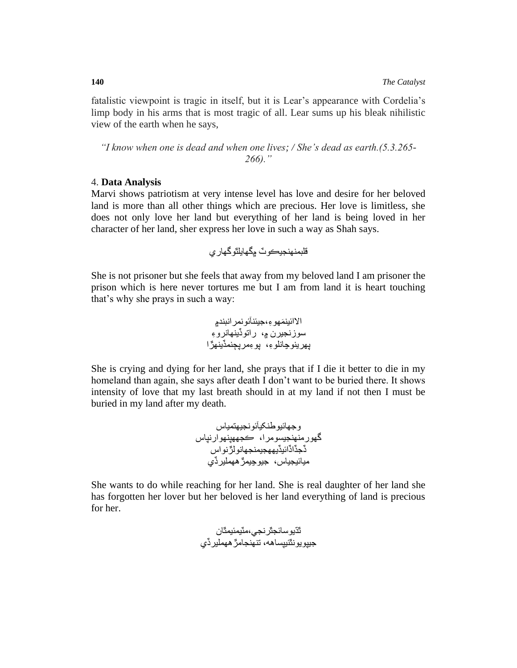fatalistic viewpoint is tragic in itself, but it is Lear's appearance with Cordelia's limp body in his arms that is most tragic of all. Lear sums up his bleak nihilistic view of the earth when he says,

*"I know when one is dead and when one lives; / She's dead as earth.(5.3.265- 266)."*

## 4. **Data Analysis**

Marvi shows patriotism at very intense level has love and desire for her beloved land is more than all other things which are precious. Her love is limitless, she does not only love her land but everything of her land is being loved in her character of her land, sher express her love in such a way as Shah says.

قلبمنهنجيڪوٽ ۾گهايلٿوگهاري

She is not prisoner but she feels that away from my beloved land I am prisoner the prison which is here never tortures me but I am from land it is heart touching that's why she prays in such a way:

َمهو ء،جيئنآئونمرانبند۾ االائين سوزنجيرن ۾، راتوڏينهانرو ء پهرينوڃانلو ء، پو ءمرپڄنمڏينهڙا

She is crying and dying for her land, she prays that if I die it better to die in my homeland than again, she says after death I don't want to be buried there. It shows intensity of love that my last breath should in at my land if not then I must be buried in my land after my death.

وجهائيوطنکيآئونجيهتمياس گهورمنهنجيسومرا، ڪجههپنهوارنپاس ڏجڏاڏائيڏيههجيمنجهانولڙنواس ميائيجياس، جيوڃيمڙههمليرڏي

She wants to do while reaching for her land. She is real daughter of her land she has forgotten her lover but her beloved is her land everything of land is precious for her.

ٿڌيوسائجٿرنجي،مٽيمئيمٿان جيپويونٿئيپساهه، تنهنجامڙههمليرڏي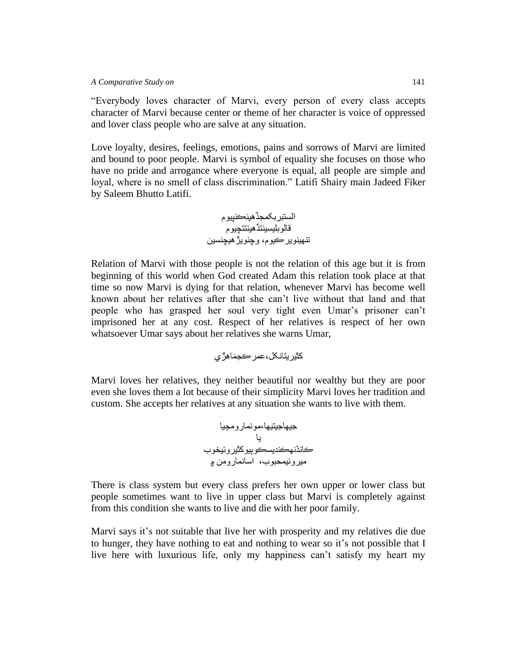#### *A Comparative Study on*141

"Everybody loves character of Marvi, every person of every class accepts character of Marvi because center or theme of her character is voice of oppressed and lover class people who are salve at any situation.

Love loyalty, desires, feelings, emotions, pains and sorrows of Marvi are limited and bound to poor people. Marvi is symbol of equality she focuses on those who have no pride and arrogance where everyone is equal, all people are simple and loyal, where is no smell of class discrimination." Latifi Shairy main Jadeed Fiker by Saleem Bhutto Latifi.

الستبربکمجڏهينڪنپيوم قالوبليسينتڏهينتتچيوم تنهينويرڪيوم، وچنويڙهيچنسين

Relation of Marvi with those people is not the relation of this age but it is from beginning of this world when God created Adam this relation took place at that time so now Marvi is dying for that relation, whenever Marvi has become well known about her relatives after that she can't live without that land and that people who has grasped her soul very tight even Umar's prisoner can't imprisoned her at any cost. Respect of her relatives is respect of her own whatsoever Umar says about her relatives she warns Umar,

کٿيريتانکل،عمرڪج َماهڙي

Marvi loves her relatives, they neither beautiful nor wealthy but they are poor even she loves them a lot because of their simplicity Marvi loves her tradition and custom. She accepts her relatives at any situation she wants to live with them.

جيهاجيتيها،مونمارومڃيا يا ڪانڌنهڪنديسڪوٻيوکٿيروئيخوب ميروئيمحبوب، اسانمارومن ۾

There is class system but every class prefers her own upper or lower class but people sometimes want to live in upper class but Marvi is completely against from this condition she wants to live and die with her poor family.

Marvi says it's not suitable that live her with prosperity and my relatives die due to hunger, they have nothing to eat and nothing to wear so it's not possible that I live here with luxurious life, only my happiness can't satisfy my heart my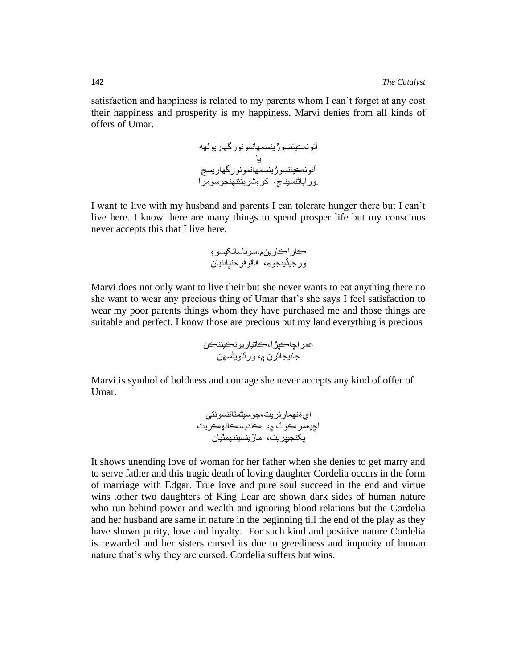satisfaction and happiness is related to my parents whom I can't forget at any cost their happiness and prosperity is my happiness. Marvi denies from all kinds of offers of Umar.

> آئونڪيئنسوڙينسمهانمونورگهاريولهه يا آئونڪيئنسوڙينسمهانمونورگهاريسڃ .وراباڻنسيناڃ، کو ءشربتتنهنجوسومرا

I want to live with my husband and parents I can tolerate hunger there but I can't live here. I know there are many things to spend prosper life but my conscious never accepts this that I live here.

ڪاراڪارين۾،سوناسانکيسو ء ورجيڏينجو ء، فاقوفرحتڀانئيان

Marvi does not only want to live their but she never wants to eat anything there no she want to wear any precious thing of Umar that's she says I feel satisfaction to wear my poor parents things whom they have purchased me and those things are suitable and perfect. I know those are precious but my land everything is precious

عمراڇاڪپڙا،ڪاڻياريونڪيئنڪن جانيجاٿرن ۾، ورٿاويڻسهن

Marvi is symbol of boldness and courage she never accepts any kind of offer of Umar.

اي َءنهمارنريت،جوسيڻمٽائنسونتي اچيعمرڪوٽ ۾، ڪنديسڪانهڪريت پکنجيپريت، ماڙينسيننهمٽيان

It shows unending love of woman for her father when she denies to get marry and to serve father and this tragic death of loving daughter Cordelia occurs in the form of marriage with Edgar. True love and pure soul succeed in the end and virtue wins .other two daughters of King Lear are shown dark sides of human nature who run behind power and wealth and ignoring blood relations but the Cordelia and her husband are same in nature in the beginning till the end of the play as they have shown purity, love and loyalty. For such kind and positive nature Cordelia is rewarded and her sisters cursed its due to greediness and impurity of human nature that's why they are cursed. Cordelia suffers but wins.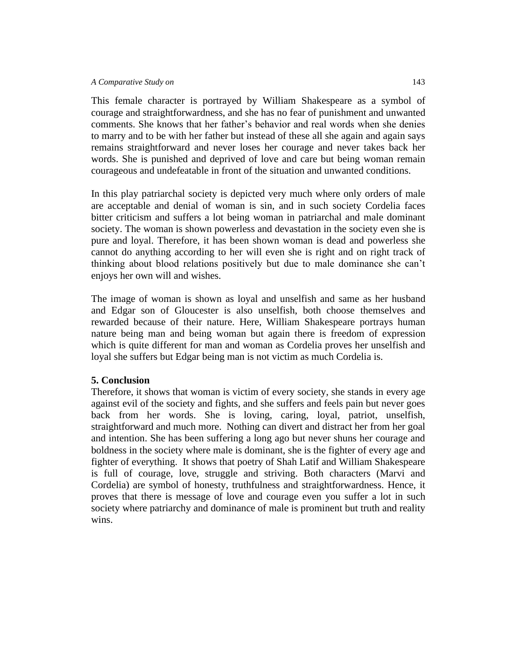This female character is portrayed by William Shakespeare as a symbol of courage and straightforwardness, and she has no fear of punishment and unwanted comments. She knows that her father's behavior and real words when she denies to marry and to be with her father but instead of these all she again and again says remains straightforward and never loses her courage and never takes back her words. She is punished and deprived of love and care but being woman remain courageous and undefeatable in front of the situation and unwanted conditions.

In this play patriarchal society is depicted very much where only orders of male are acceptable and denial of woman is sin, and in such society Cordelia faces bitter criticism and suffers a lot being woman in patriarchal and male dominant society. The woman is shown powerless and devastation in the society even she is pure and loyal. Therefore, it has been shown woman is dead and powerless she cannot do anything according to her will even she is right and on right track of thinking about blood relations positively but due to male dominance she can't enjoys her own will and wishes.

The image of woman is shown as loyal and unselfish and same as her husband and Edgar son of Gloucester is also unselfish, both choose themselves and rewarded because of their nature. Here, William Shakespeare portrays human nature being man and being woman but again there is freedom of expression which is quite different for man and woman as Cordelia proves her unselfish and loyal she suffers but Edgar being man is not victim as much Cordelia is.

## **5. Conclusion**

Therefore, it shows that woman is victim of every society, she stands in every age against evil of the society and fights, and she suffers and feels pain but never goes back from her words. She is loving, caring, loyal, patriot, unselfish, straightforward and much more. Nothing can divert and distract her from her goal and intention. She has been suffering a long ago but never shuns her courage and boldness in the society where male is dominant, she is the fighter of every age and fighter of everything. It shows that poetry of Shah Latif and William Shakespeare is full of courage, love, struggle and striving. Both characters (Marvi and Cordelia) are symbol of honesty, truthfulness and straightforwardness. Hence, it proves that there is message of love and courage even you suffer a lot in such society where patriarchy and dominance of male is prominent but truth and reality wins.